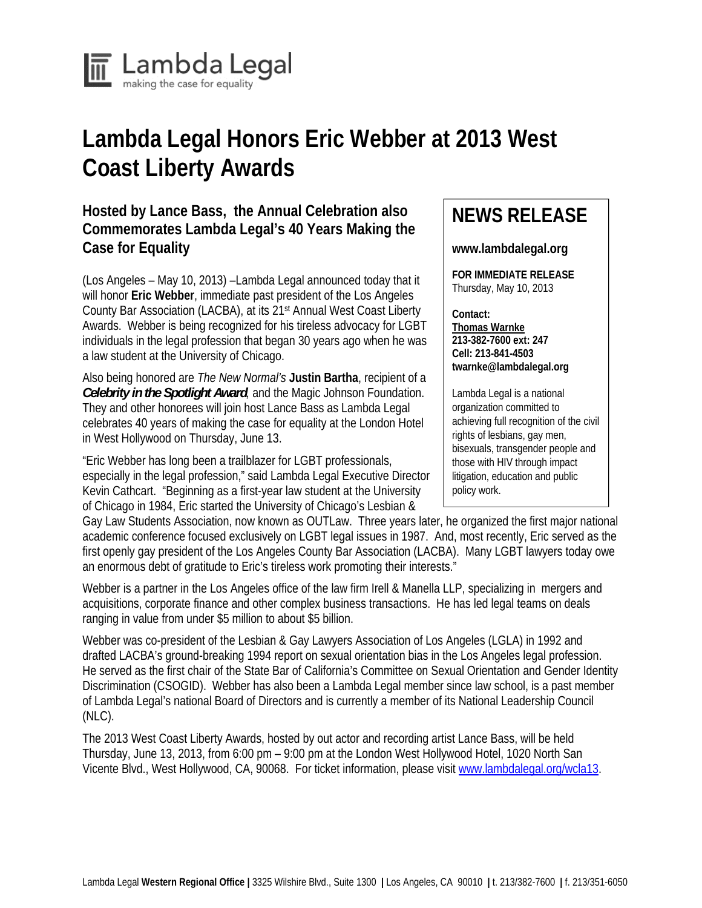

## **Lambda Legal Honors Eric Webber at 2013 West Coast Liberty Awards**

## **Hosted by Lance Bass, the Annual Celebration also Commemorates Lambda Legal's 40 Years Making the Case for Equality**

(Los Angeles – May 10, 2013) –Lambda Legal announced today that it will honor **Eric Webber**, immediate past president of the Los Angeles County Bar Association (LACBA), at its 21st Annual West Coast Liberty Awards. Webber is being recognized for his tireless advocacy for LGBT individuals in the legal profession that began 30 years ago when he was a law student at the University of Chicago.

Also being honored are *The New Normal's* **Justin Bartha**, recipient of a *Celebrity in the Spotlight Award,* and the Magic Johnson Foundation. They and other honorees will join host Lance Bass as Lambda Legal celebrates 40 years of making the case for equality at the London Hotel in West Hollywood on Thursday, June 13.

"Eric Webber has long been a trailblazer for LGBT professionals, especially in the legal profession," said Lambda Legal Executive Director Kevin Cathcart. "Beginning as a first-year law student at the University of Chicago in 1984, Eric started the University of Chicago's Lesbian &

## **NEWS RELEASE**

**www.lambdalegal.org** 

**FOR IMMEDIATE RELEASE**  Thursday, May 10, 2013

**Contact: Thomas Warnke 213-382-7600 ext: 247 Cell: 213-841-4503 twarnke@lambdalegal.org** 

Lambda Legal is a national organization committed to achieving full recognition of the civil rights of lesbians, gay men, bisexuals, transgender people and those with HIV through impact litigation, education and public policy work.

Gay Law Students Association, now known as OUTLaw. Three years later, he organized the first major national academic conference focused exclusively on LGBT legal issues in 1987. And, most recently, Eric served as the first openly gay president of the Los Angeles County Bar Association (LACBA). Many LGBT lawyers today owe an enormous debt of gratitude to Eric's tireless work promoting their interests."

Webber is a partner in the Los Angeles office of the law firm Irell & Manella LLP, specializing in mergers and acquisitions, corporate finance and other complex business transactions. He has led legal teams on deals ranging in value from under \$5 million to about \$5 billion.

Webber was co-president of the Lesbian & Gay Lawyers Association of Los Angeles (LGLA) in 1992 and drafted LACBA's ground-breaking 1994 report on sexual orientation bias in the Los Angeles legal profession. He served as the first chair of the State Bar of California's Committee on Sexual Orientation and Gender Identity Discrimination (CSOGID). Webber has also been a Lambda Legal member since law school, is a past member of Lambda Legal's national Board of Directors and is currently a member of its National Leadership Council (NLC).

The 2013 West Coast Liberty Awards, hosted by out actor and recording artist Lance Bass, will be held Thursday, June 13, 2013, from 6:00 pm – 9:00 pm at the London West Hollywood Hotel, 1020 North San Vicente Blvd., West Hollywood, CA, 90068. For ticket information, please visit www.lambdalegal.org/wcla13.